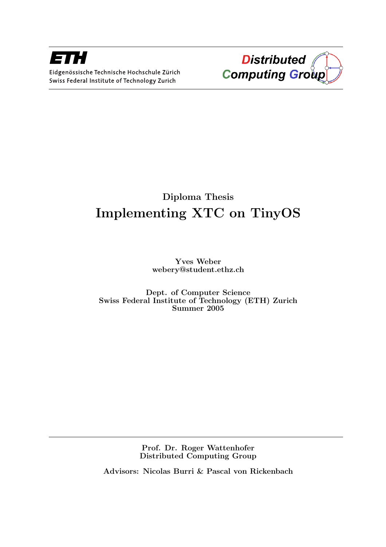



# Diploma Thesis Implementing XTC on TinyOS

Yves Weber webery@student.ethz.ch

Dept. of Computer Science Swiss Federal Institute of Technology (ETH) Zurich Summer 2005

> Prof. Dr. Roger Wattenhofer Distributed Computing Group

Advisors: Nicolas Burri & Pascal von Rickenbach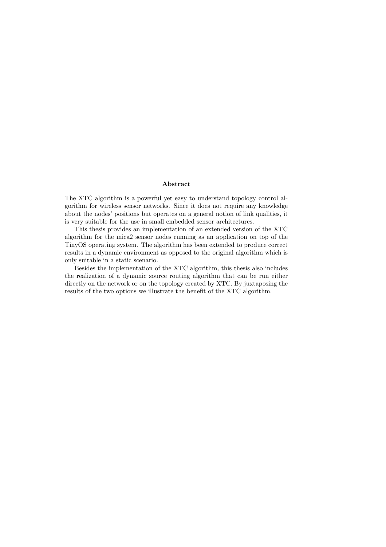#### Abstract

The XTC algorithm is a powerful yet easy to understand topology control algorithm for wireless sensor networks. Since it does not require any knowledge about the nodes' positions but operates on a general notion of link qualities, it is very suitable for the use in small embedded sensor architectures.

This thesis provides an implementation of an extended version of the XTC algorithm for the mica2 sensor nodes running as an application on top of the TinyOS operating system. The algorithm has been extended to produce correct results in a dynamic environment as opposed to the original algorithm which is only suitable in a static scenario.

Besides the implementation of the XTC algorithm, this thesis also includes the realization of a dynamic source routing algorithm that can be run either directly on the network or on the topology created by XTC. By juxtaposing the results of the two options we illustrate the benefit of the XTC algorithm.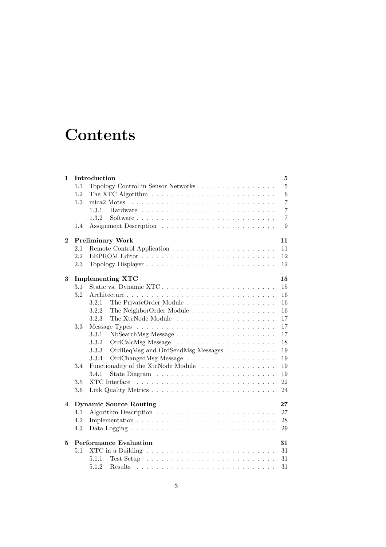# **Contents**

| 1           |         | Introduction                                                                                                                                                                                                                                              | 5              |
|-------------|---------|-----------------------------------------------------------------------------------------------------------------------------------------------------------------------------------------------------------------------------------------------------------|----------------|
|             | 1.1     | Topology Control in Sensor Networks                                                                                                                                                                                                                       | 5              |
|             | 1.2     |                                                                                                                                                                                                                                                           | 6              |
|             | 1.3     | mica2 Motes $\ldots \ldots \ldots \ldots \ldots \ldots \ldots \ldots \ldots \ldots$                                                                                                                                                                       | $\overline{7}$ |
|             |         | 1.3.1                                                                                                                                                                                                                                                     | 7              |
|             |         | 1.3.2                                                                                                                                                                                                                                                     | $\overline{7}$ |
|             | $1.4\,$ |                                                                                                                                                                                                                                                           | 9              |
| $\mathbf 2$ |         | <b>Preliminary Work</b>                                                                                                                                                                                                                                   | 11             |
|             | 2.1     |                                                                                                                                                                                                                                                           | 11             |
|             | 2.2     |                                                                                                                                                                                                                                                           | 12             |
|             | 2.3     |                                                                                                                                                                                                                                                           | 12             |
| 3           |         | <b>Implementing XTC</b>                                                                                                                                                                                                                                   | 15             |
|             | 3.1     |                                                                                                                                                                                                                                                           | 15             |
|             | 3.2     |                                                                                                                                                                                                                                                           | 16             |
|             |         | 3.2.1<br>The PrivateOrder Module                                                                                                                                                                                                                          | 16             |
|             |         | 3.2.2<br>The NeighborOrder Module                                                                                                                                                                                                                         | 16             |
|             |         | 3.2.3                                                                                                                                                                                                                                                     | 17             |
|             | 3.3     |                                                                                                                                                                                                                                                           | 17             |
|             |         | 3.3.1                                                                                                                                                                                                                                                     | 17             |
|             |         | 3.3.2                                                                                                                                                                                                                                                     | 18             |
|             |         | OrdReqMsg and OrdSendMsg Messages<br>3.3.3                                                                                                                                                                                                                | 19             |
|             |         | 3.3.4                                                                                                                                                                                                                                                     | 19             |
|             | 3.4     | Functionality of the XtcNode Module                                                                                                                                                                                                                       | 19             |
|             |         | 3.4.1                                                                                                                                                                                                                                                     | 19             |
|             | 3.5     |                                                                                                                                                                                                                                                           | 22             |
|             | 3.6     |                                                                                                                                                                                                                                                           | 24             |
| 4           |         | <b>Dynamic Source Routing</b>                                                                                                                                                                                                                             | 27             |
|             | 4.1     |                                                                                                                                                                                                                                                           | 27             |
|             | 4.2     |                                                                                                                                                                                                                                                           | 28             |
|             | 4.3     | Data Logging $\ldots \ldots \ldots \ldots \ldots \ldots \ldots \ldots \ldots \ldots$                                                                                                                                                                      | 29             |
| 5           |         | <b>Performance Evaluation</b>                                                                                                                                                                                                                             | 31             |
|             | 5.1     | XTC in a Building $\ldots \ldots \ldots \ldots \ldots \ldots \ldots \ldots$                                                                                                                                                                               | 31             |
|             |         | 5.1.1                                                                                                                                                                                                                                                     | 31             |
|             |         | 5.1.2<br><b>Results</b><br>the contract of the contract of the contract of the contract of the contract of the contract of the contract of the contract of the contract of the contract of the contract of the contract of the contract of the contract o | 31             |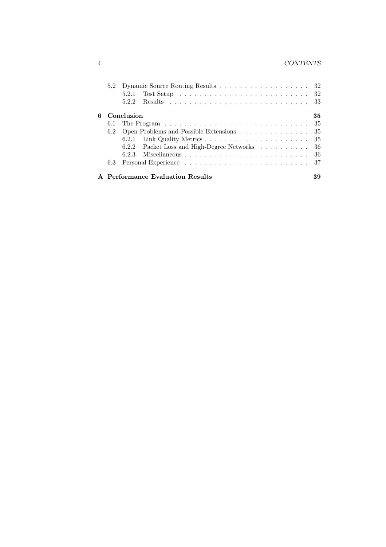### 4 CONTENTS

|   |     | 5.2 Dynamic Source Routing Results 32                                                                                                                                                                                                   |     |
|---|-----|-----------------------------------------------------------------------------------------------------------------------------------------------------------------------------------------------------------------------------------------|-----|
|   |     | Test Setup received a set of the set of the set of the set of the set of the set of the set of the set of the set of the set of the set of the set of the set of the set of the set of the set of the set of the set of the se<br>5.2.1 |     |
|   |     | 5.2.2                                                                                                                                                                                                                                   |     |
| 6 |     | Conclusion                                                                                                                                                                                                                              | 35  |
|   |     |                                                                                                                                                                                                                                         | -35 |
|   | 6.2 | Open Problems and Possible Extensions                                                                                                                                                                                                   | -35 |
|   |     |                                                                                                                                                                                                                                         | -35 |
|   |     | 6.2.2 Packet Loss and High-Degree Networks 36                                                                                                                                                                                           |     |
|   |     | 6.2.3                                                                                                                                                                                                                                   |     |
|   |     |                                                                                                                                                                                                                                         |     |
|   |     | A Performance Evaluation Results                                                                                                                                                                                                        | 39  |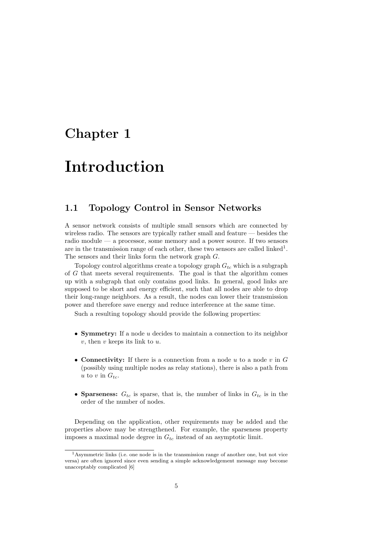## Chapter 1

# Introduction

## 1.1 Topology Control in Sensor Networks

A sensor network consists of multiple small sensors which are connected by wireless radio. The sensors are typically rather small and feature  $-$  besides the radio module — a processor, some memory and a power source. If two sensors are in the transmission range of each other, these two sensors are called linked<sup>1</sup>. The sensors and their links form the network graph G.

Topology control algorithms create a topology graph  $G_{tc}$  which is a subgraph of G that meets several requirements. The goal is that the algorithm comes up with a subgraph that only contains good links. In general, good links are supposed to be short and energy efficient, such that all nodes are able to drop their long-range neighbors. As a result, the nodes can lower their transmission power and therefore save energy and reduce interference at the same time.

Such a resulting topology should provide the following properties:

- **Symmetry:** If a node u decides to maintain a connection to its neighbor  $v$ , then  $v$  keeps its link to  $u$ .
- Connectivity: If there is a connection from a node  $u$  to a node  $v$  in  $G$ (possibly using multiple nodes as relay stations), there is also a path from u to v in  $G_{tc}$ .
- Sparseness:  $G_{tc}$  is sparse, that is, the number of links in  $G_{tc}$  is in the order of the number of nodes.

Depending on the application, other requirements may be added and the properties above may be strengthened. For example, the sparseness property imposes a maximal node degree in  $G_{tc}$  instead of an asymptotic limit.

<sup>1</sup>Asymmetric links (i.e. one node is in the transmission range of another one, but not vice versa) are often ignored since even sending a simple acknowledgement message may become unacceptably complicated [6]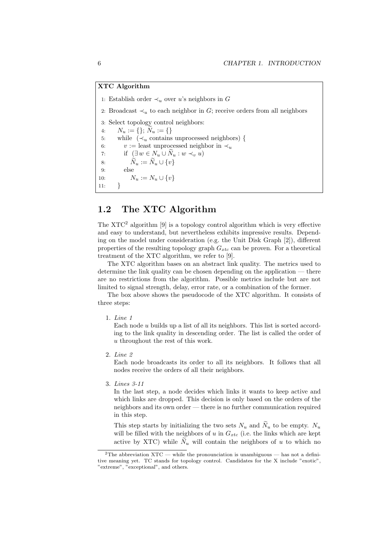#### XTC Algorithm

1: Establish order  $\prec_u$  over u's neighbors in G 2: Broadcast  $\prec_u$  to each neighbor in G; receive orders from all neighbors 3: Select topology control neighbors: 4:  $N_u := \{\}; N_u := \{\}$ 5: while  $(\prec_u$  contains unprocessed neighbors) { 6:  $v :=$  least unprocessed neighbor in  $\prec_u$ 7: if  $(\exists w \in N_u \cup \tilde{N}_u : w \prec_v u)$ 8:  $\widetilde{N}_u := \widetilde{N}_u \cup \{v\}$ 9: else 10:  $N_u := N_u \cup \{v\}$  $11:$ 

## 1.2 The XTC Algorithm

The XTC<sup>2</sup> algorithm [9] is a topology control algorithm which is very effective and easy to understand, but nevertheless exhibits impressive results. Depending on the model under consideration (e.g. the Unit Disk Graph [2]), different properties of the resulting topology graph  $G_{xtc}$  can be proven. For a theoretical treatment of the XTC algorithm, we refer to [9].

The XTC algorithm bases on an abstract link quality. The metrics used to determine the link quality can be chosen depending on the application — there are no restrictions from the algorithm. Possible metrics include but are not limited to signal strength, delay, error rate, or a combination of the former.

The box above shows the pseudocode of the XTC algorithm. It consists of three steps:

1. Line 1

Each node u builds up a list of all its neighbors. This list is sorted according to the link quality in descending order. The list is called the order of u throughout the rest of this work.

2. Line 2

Each node broadcasts its order to all its neighbors. It follows that all nodes receive the orders of all their neighbors.

3. Lines 3-11

In the last step, a node decides which links it wants to keep active and which links are dropped. This decision is only based on the orders of the neighbors and its own order — there is no further communication required in this step.

This step starts by initializing the two sets  $N_u$  and  $\widetilde{N}_u$  to be empty.  $N_u$ will be filled with the neighbors of u in  $G_{xtc}$  (i.e. the links which are kept active by XTC) while  $N_u$  will contain the neighbors of u to which no

<sup>&</sup>lt;sup>2</sup>The abbreviation  $XTC$  — while the pronounciation is unambiguous — has not a definitive meaning yet. TC stands for topology control. Candidates for the X include "exotic", "extreme", "exceptional", and others.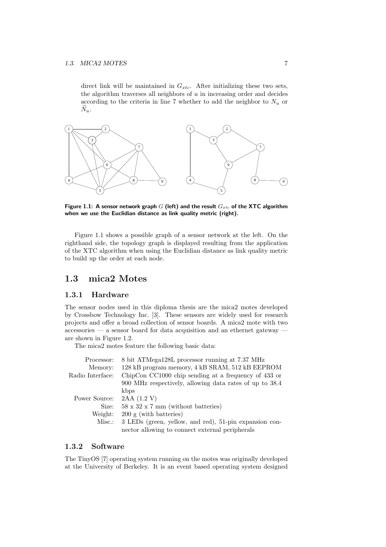direct link will be maintained in  $G_{xtc}$ . After initializing these two sets, the algorithm traverses all neighbors of  $u$  in increasing order and decides according to the criteria in line 7 whether to add the neighbor to  $N_u$  or  $\widetilde{N}_u$ .



Figure 1.1: A sensor network graph  $G$  (left) and the result  $G_{xtc}$  of the XTC algorithm when we use the Euclidian distance as link quality metric (right).

Figure 1.1 shows a possible graph of a sensor network at the left. On the righthand side, the topology graph is displayed resulting from the application of the XTC algorithm when using the Euclidian distance as link quality metric to build up the order at each node.

### 1.3 mica2 Motes

#### 1.3.1 Hardware

The sensor nodes used in this diploma thesis are the mica2 motes developed by Crossbow Technology Inc. [3]. These sensors are widely used for research projects and offer a broad collection of sensor boards. A mica2 mote with two accessories — a sensor board for data acquisition and an ethernet gateway are shown in Figure 1.2.

The mica2 motes feature the following basic data:

| 8 bit ATMega128L processor running at 7.37 MHz          |
|---------------------------------------------------------|
| 128 kB program memory, 4 kB SRAM, 512 kB EEPROM         |
| ChipCon CC1000 chip sending at a frequency of 433 or    |
| 900 MHz respectively, allowing data rates of up to 38.4 |
| kbps                                                    |
| 2AA(1.2 V)                                              |
| $58 \times 32 \times 7$ mm (without batteries)          |
| $200 \text{ g}$ (with batteries)                        |
| 3 LEDs (green, yellow, and red), 51-pin expansion con-  |
| nector allowing to connect external peripherals         |
|                                                         |

#### 1.3.2 Software

The TinyOS [7] operating system running on the motes was originally developed at the University of Berkeley. It is an event based operating system designed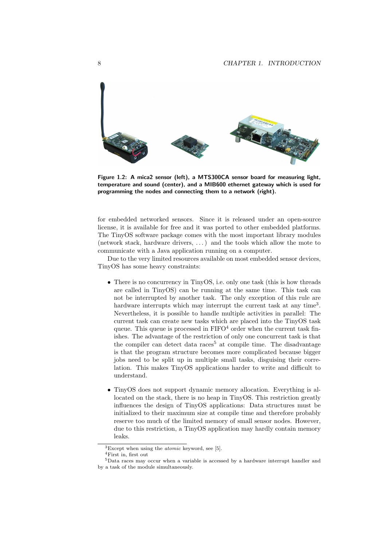

Figure 1.2: A mica2 sensor (left), a MTS300CA sensor board for measuring light, temperature and sound (center), and a MIB600 ethernet gateway which is used for programming the nodes and connecting them to a network (right).

for embedded networked sensors. Since it is released under an open-source license, it is available for free and it was ported to other embedded platforms. The TinyOS software package comes with the most important library modules (network stack, hardware drivers, . . . ) and the tools which allow the mote to communicate with a Java application running on a computer.

Due to the very limited resources available on most embedded sensor devices, TinyOS has some heavy constraints:

- There is no concurrency in TinyOS, i.e. only one task (this is how threads) are called in TinyOS) can be running at the same time. This task can not be interrupted by another task. The only exception of this rule are hardware interrupts which may interrupt the current task at any time<sup>3</sup>. Nevertheless, it is possible to handle multiple activities in parallel: The current task can create new tasks which are placed into the TinyOS task queue. This queue is processed in  $FIFO<sup>4</sup> order when the current task fin$ ishes. The advantage of the restriction of only one concurrent task is that the compiler can detect data races<sup>5</sup> at compile time. The disadvantage is that the program structure becomes more complicated because bigger jobs need to be split up in multiple small tasks, disguising their correlation. This makes TinyOS applications harder to write and difficult to understand.
- TinyOS does not support dynamic memory allocation. Everything is allocated on the stack, there is no heap in TinyOS. This restriction greatly influences the design of TinyOS applications: Data structures must be initialized to their maximum size at compile time and therefore probably reserve too much of the limited memory of small sensor nodes. However, due to this restriction, a TinyOS application may hardly contain memory leaks.

 ${}^{3}$ Except when using the *atomic* keyword, see [5].

<sup>4</sup>First in, first out

<sup>5</sup>Data races may occur when a variable is accessed by a hardware interrupt handler and by a task of the module simultaneously.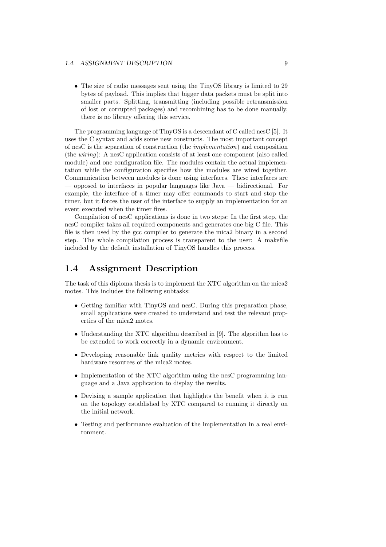• The size of radio messages sent using the TinyOS library is limited to 29 bytes of payload. This implies that bigger data packets must be split into smaller parts. Splitting, transmitting (including possible retransmission of lost or corrupted packages) and recombining has to be done manually, there is no library offering this service.

The programming language of TinyOS is a descendant of C called nesC [5]. It uses the C syntax and adds some new constructs. The most important concept of nesC is the separation of construction (the implementation) and composition (the wiring): A nesC application consists of at least one component (also called module) and one configuration file. The modules contain the actual implementation while the configuration specifies how the modules are wired together. Communication between modules is done using interfaces. These interfaces are — opposed to interfaces in popular languages like Java — bidirectional. For example, the interface of a timer may offer commands to start and stop the timer, but it forces the user of the interface to supply an implementation for an event executed when the timer fires.

Compilation of nesC applications is done in two steps: In the first step, the nesC compiler takes all required components and generates one big C file. This file is then used by the gcc compiler to generate the mica2 binary in a second step. The whole compilation process is transparent to the user: A makefile included by the default installation of TinyOS handles this process.

## 1.4 Assignment Description

The task of this diploma thesis is to implement the XTC algorithm on the mica2 motes. This includes the following subtasks:

- Getting familiar with TinyOS and nesC. During this preparation phase, small applications were created to understand and test the relevant properties of the mica2 motes.
- Understanding the XTC algorithm described in [9]. The algorithm has to be extended to work correctly in a dynamic environment.
- Developing reasonable link quality metrics with respect to the limited hardware resources of the mica2 motes.
- Implementation of the XTC algorithm using the nesC programming language and a Java application to display the results.
- Devising a sample application that highlights the benefit when it is run on the topology established by XTC compared to running it directly on the initial network.
- Testing and performance evaluation of the implementation in a real environment.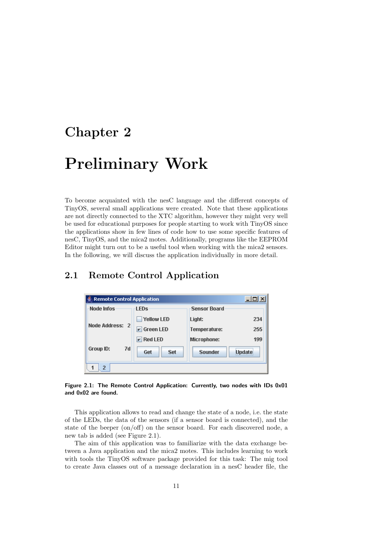## Chapter 2

# Preliminary Work

To become acquainted with the nesC language and the different concepts of TinyOS, several small applications were created. Note that these applications are not directly connected to the XTC algorithm, however they might very well be used for educational purposes for people starting to work with TinyOS since the applications show in few lines of code how to use some specific features of nesC, TinyOS, and the mica2 motes. Additionally, programs like the EEPROM Editor might turn out to be a useful tool when working with the mica2 sensors. In the following, we will discuss the application individually in more detail.

## 2.1 Remote Control Application

| $   \Box   \times  $<br><b>Remote Control Application</b> |                            |                     |               |  |  |  |  |  |
|-----------------------------------------------------------|----------------------------|---------------------|---------------|--|--|--|--|--|
| <b>Node Infos</b>                                         | <b>LED<sub>s</sub></b>     | <b>Sensor Board</b> |               |  |  |  |  |  |
|                                                           | <b>Yellow LED</b>          | Light:              | 234           |  |  |  |  |  |
| Node Address: 2                                           | $\triangleright$ Green LED | Temperature:        | 255           |  |  |  |  |  |
|                                                           | $V$ Red LED                | Microphone:         | 199           |  |  |  |  |  |
| <b>Group ID:</b><br>7d                                    | Get<br>Set                 | <b>Sounder</b>      | <b>Update</b> |  |  |  |  |  |
| 2                                                         |                            |                     |               |  |  |  |  |  |

Figure 2.1: The Remote Control Application: Currently, two nodes with IDs 0x01 and 0x02 are found.

This application allows to read and change the state of a node, i.e. the state of the LEDs, the data of the sensors (if a sensor board is connected), and the state of the beeper (on/off) on the sensor board. For each discovered node, a new tab is added (see Figure 2.1).

The aim of this application was to familiarize with the data exchange between a Java application and the mica2 motes. This includes learning to work with tools the TinyOS software package provided for this task: The mig tool to create Java classes out of a message declaration in a nesC header file, the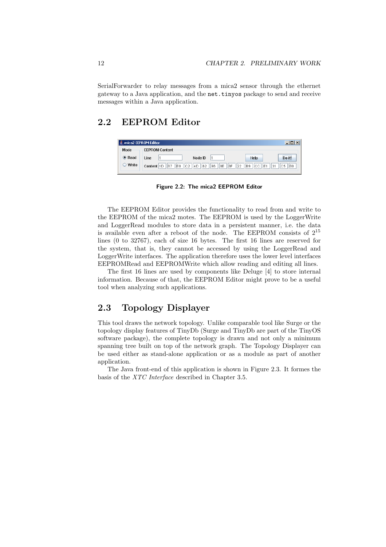SerialForwarder to relay messages from a mica2 sensor through the ethernet gateway to a Java application, and the net.tinyos package to send and receive messages within a Java application.

## 2.2 EEPROM Editor

|             | mica2 EEPROM Editor |                       |                      |                   |                                  |                             |  |  |  |
|-------------|---------------------|-----------------------|----------------------|-------------------|----------------------------------|-----------------------------|--|--|--|
| Mode        |                     | <b>EEPROM Content</b> |                      |                   |                                  |                             |  |  |  |
| <b>Read</b> | Line                |                       | Node ID              |                   | Help                             | Do it!                      |  |  |  |
| ○ Write     | Content 1D          | lB7<br>IE0            | 62<br>I4D<br>$ c_2 $ | 96<br>' 8E<br>18F | 22<br>ICC IIE1<br>B <sub>9</sub> | 31<br><b>B</b> <sub>0</sub> |  |  |  |

Figure 2.2: The mica2 EEPROM Editor

The EEPROM Editor provides the functionality to read from and write to the EEPROM of the mica2 motes. The EEPROM is used by the LoggerWrite and LoggerRead modules to store data in a persistent manner, i.e. the data is available even after a reboot of the node. The EEPROM consists of  $2^{15}$ lines (0 to 32767), each of size 16 bytes. The first 16 lines are reserved for the system, that is, they cannot be accessed by using the LoggerRead and LoggerWrite interfaces. The application therefore uses the lower level interfaces EEPROMRead and EEPROMWrite which allow reading and editing all lines.

The first 16 lines are used by components like Deluge [4] to store internal information. Because of that, the EEPROM Editor might prove to be a useful tool when analyzing such applications.

## 2.3 Topology Displayer

This tool draws the network topology. Unlike comparable tool like Surge or the topology display features of TinyDb (Surge and TinyDb are part of the TinyOS software package), the complete topology is drawn and not only a minimum spanning tree built on top of the network graph. The Topology Displayer can be used either as stand-alone application or as a module as part of another application.

The Java front-end of this application is shown in Figure 2.3. It formes the basis of the XTC Interface described in Chapter 3.5.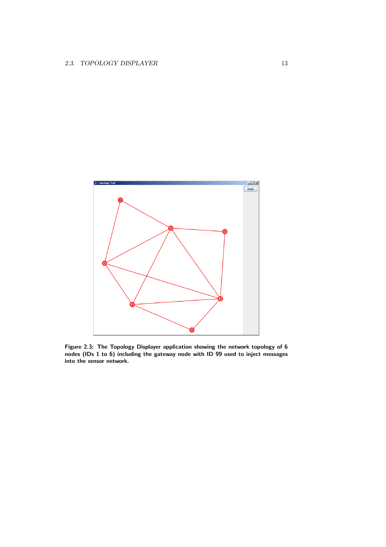

Figure 2.3: The Topology Displayer application showing the network topology of 6 nodes (IDs 1 to 6) including the gateway node with ID 99 used to inject messages into the sensor network.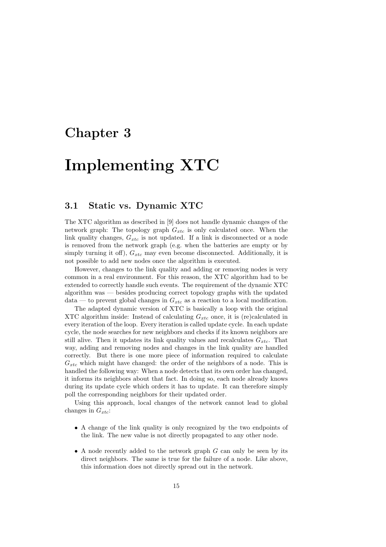## Chapter 3

# Implementing XTC

## 3.1 Static vs. Dynamic XTC

The XTC algorithm as described in [9] does not handle dynamic changes of the network graph: The topology graph  $G_{xtc}$  is only calculated once. When the link quality changes,  $G_{xtc}$  is not updated. If a link is disconnected or a node is removed from the network graph (e.g. when the batteries are empty or by simply turning it off),  $G_{xtc}$  may even become disconnected. Additionally, it is not possible to add new nodes once the algorithm is executed.

However, changes to the link quality and adding or removing nodes is very common in a real environment. For this reason, the XTC algorithm had to be extended to correctly handle such events. The requirement of the dynamic XTC algorithm was — besides producing correct topology graphs with the updated  $data$  — to prevent global changes in  $G_{xtc}$  as a reaction to a local modification.

The adapted dynamic version of XTC is basically a loop with the original XTC algorithm inside: Instead of calculating  $G_{\tau tc}$  once, it is (re)calculated in every iteration of the loop. Every iteration is called update cycle. In each update cycle, the node searches for new neighbors and checks if its known neighbors are still alive. Then it updates its link quality values and recalculates  $G_{\tau tc}$ . That way, adding and removing nodes and changes in the link quality are handled correctly. But there is one more piece of information required to calculate  $G_{xtc}$  which might have changed: the order of the neighbors of a node. This is handled the following way: When a node detects that its own order has changed, it informs its neighbors about that fact. In doing so, each node already knows during its update cycle which orders it has to update. It can therefore simply poll the corresponding neighbors for their updated order.

Using this approach, local changes of the network cannot lead to global changes in  $G_{xtc}$ :

- A change of the link quality is only recognized by the two endpoints of the link. The new value is not directly propagated to any other node.
- A node recently added to the network graph  $G$  can only be seen by its direct neighbors. The same is true for the failure of a node. Like above, this information does not directly spread out in the network.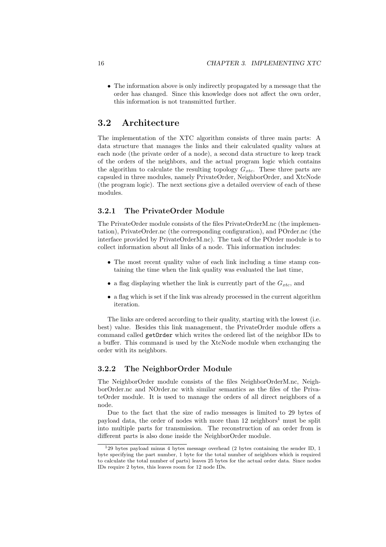• The information above is only indirectly propagated by a message that the order has changed. Since this knowledge does not affect the own order, this information is not transmitted further.

## 3.2 Architecture

The implementation of the XTC algorithm consists of three main parts: A data structure that manages the links and their calculated quality values at each node (the private order of a node), a second data structure to keep track of the orders of the neighbors, and the actual program logic which contains the algorithm to calculate the resulting topology  $G_{\text{xtc}}$ . These three parts are capsuled in three modules, namely PrivateOrder, NeighborOrder, and XtcNode (the program logic). The next sections give a detailed overview of each of these modules.

#### 3.2.1 The PrivateOrder Module

The PrivateOrder module consists of the files PrivateOrderM.nc (the implementation), PrivateOrder.nc (the corresponding configuration), and POrder.nc (the interface provided by PrivateOrderM.nc). The task of the POrder module is to collect information about all links of a node. This information includes:

- The most recent quality value of each link including a time stamp containing the time when the link quality was evaluated the last time,
- a flag displaying whether the link is currently part of the  $G_{xtc}$ , and
- a flag which is set if the link was already processed in the current algorithm iteration.

The links are ordered according to their quality, starting with the lowest (i.e. best) value. Besides this link management, the PrivateOrder module offers a command called getOrder which writes the ordered list of the neighbor IDs to a buffer. This command is used by the XtcNode module when exchanging the order with its neighbors.

#### 3.2.2 The NeighborOrder Module

The NeighborOrder module consists of the files NeighborOrderM.nc, NeighborOrder.nc and NOrder.nc with similar semantics as the files of the PrivateOrder module. It is used to manage the orders of all direct neighbors of a node.

Due to the fact that the size of radio messages is limited to 29 bytes of payload data, the order of nodes with more than  $12$  neighbors<sup>1</sup> must be split into multiple parts for transmission. The reconstruction of an order from is different parts is also done inside the NeighborOrder module.

 $129$  bytes payload minus 4 bytes message overhead (2 bytes containing the sender ID, 1 byte specifying the part number, 1 byte for the total number of neighbors which is required to calculate the total number of parts) leaves 25 bytes for the actual order data. Since nodes IDs require 2 bytes, this leaves room for 12 node IDs.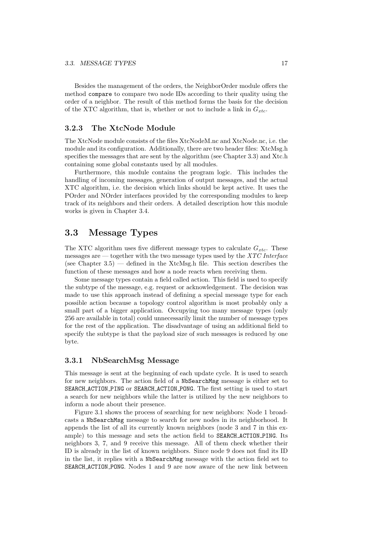Besides the management of the orders, the NeighborOrder module offers the method compare to compare two node IDs according to their quality using the order of a neighbor. The result of this method forms the basis for the decision of the XTC algorithm, that is, whether or not to include a link in  $G_{xtc}$ .

#### 3.2.3 The XtcNode Module

The XtcNode module consists of the files XtcNodeM.nc and XtcNode.nc, i.e. the module and its configuration. Additionally, there are two header files: XtcMsg.h specifies the messages that are sent by the algorithm (see Chapter 3.3) and Xtc.h containing some global constants used by all modules.

Furthermore, this module contains the program logic. This includes the handling of incoming messages, generation of output messages, and the actual XTC algorithm, i.e. the decision which links should be kept active. It uses the POrder and NOrder interfaces provided by the corresponding modules to keep track of its neighbors and their orders. A detailed description how this module works is given in Chapter 3.4.

## 3.3 Message Types

The XTC algorithm uses five different message types to calculate  $G_{xtc}$ . These messages are — together with the two message types used by the XTC Interface (see Chapter  $3.5$ ) — defined in the XtcMsg.h file. This section describes the function of these messages and how a node reacts when receiving them.

Some message types contain a field called action. This field is used to specify the subtype of the message, e.g. request or acknowledgement. The decision was made to use this approach instead of defining a special message type for each possible action because a topology control algorithm is most probably only a small part of a bigger application. Occupying too many message types (only 256 are available in total) could unnecessarily limit the number of message types for the rest of the application. The disadvantage of using an additional field to specify the subtype is that the payload size of such messages is reduced by one byte.

#### 3.3.1 NbSearchMsg Message

This message is sent at the beginning of each update cycle. It is used to search for new neighbors. The action field of a NbSearchMsg message is either set to SEARCH ACTION PING or SEARCH ACTION PONG. The first setting is used to start a search for new neighbors while the latter is utilized by the new neighbors to inform a node about their presence.

Figure 3.1 shows the process of searching for new neighbors: Node 1 broadcasts a NbSearchMsg message to search for new nodes in its neighborhood. It appends the list of all its currently known neighbors (node 3 and 7 in this example) to this message and sets the action field to SEARCH ACTION PING. Its neighbors 3, 7, and 9 receive this message. All of them check whether their ID is already in the list of known neighbors. Since node 9 does not find its ID in the list, it replies with a NbSearchMsg message with the action field set to SEARCH ACTION PONG. Nodes 1 and 9 are now aware of the new link between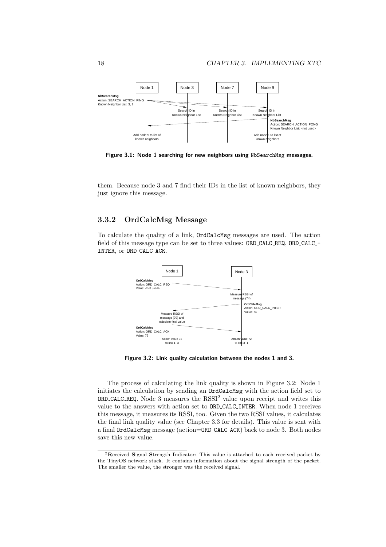

Figure 3.1: Node 1 searching for new neighbors using NbSearchMsg messages.

them. Because node 3 and 7 find their IDs in the list of known neighbors, they just ignore this message.

#### 3.3.2 OrdCalcMsg Message

To calculate the quality of a link, OrdCalcMsg messages are used. The action field of this message type can be set to three values: ORD\_CALC\_REQ, ORD\_CALC\_-INTER, or ORD\_CALC\_ACK.



Figure 3.2: Link quality calculation between the nodes 1 and 3.

The process of calculating the link quality is shown in Figure 3.2: Node 1 initiates the calculation by sending an OrdCalcMsg with the action field set to  $ORD\_CALC$  REQ. Node 3 measures the  $RSSI<sup>2</sup>$  value upon receipt and writes this value to the answers with action set to ORD CALC INTER. When node 1 receives this message, it measures its RSSI, too. Given the two RSSI values, it calculates the final link quality value (see Chapter 3.3 for details). This value is sent with a final OrdCalcMsg message (action=ORD CALC ACK) back to node 3. Both nodes save this new value.

<sup>2</sup>Received Signal Strength Indicator: This value is attached to each received packet by the TinyOS network stack. It contains information about the signal strength of the packet. The smaller the value, the stronger was the received signal.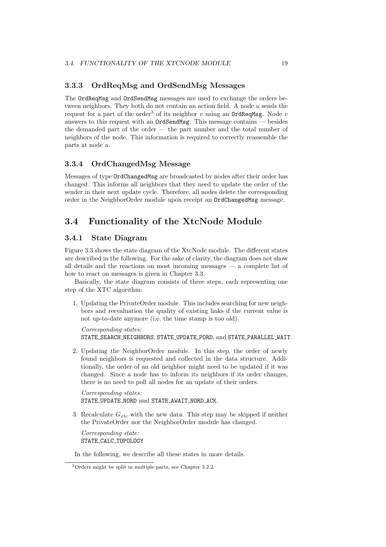#### 3.3.3 OrdReqMsg and OrdSendMsg Messages

The OrdReqMsg and OrdSendMsg messages are used to exchange the orders between neighbors. They both do not contain an action field. A node u sends the request for a part of the order<sup>3</sup> of its neighbor v using an  $Ord$ <sub>Req</sub>Msg. Node v answers to this request with an OrdSendMsg. This message contains — besides the demanded part of the order — the part number and the total number of neighbors of the node. This information is required to correctly reassemble the parts at node u.

#### 3.3.4 OrdChangedMsg Message

Messages of type OrdChangedMsg are broadcasted by nodes after their order has changed. This informs all neighbors that they need to update the order of the sender in their next update cycle. Therefore, all nodes delete the corresponding order in the NeighborOrder module upon receipt an OrdChangedMsg message.

## 3.4 Functionality of the XtcNode Module

#### 3.4.1 State Diagram

Figure 3.3 shows the state diagram of the XtcNode module. The different states are described in the following. For the sake of clarity, the diagram does not show all details and the reactions on most incoming messages — a complete list of how to react on messages is given in Chapter 3.3.

Basically, the state diagram consists of three steps, each representing one step of the XTC algorithm:

1. Updating the PrivateOrder module. This includes searching for new neighbors and reevaluation the quality of existing links if the current value is not up-to-date anymore (i.e. the time stamp is too old).

Corresponding states: STATE SEARCH NEIGHBORS, STATE UPDATE PORD, and STATE PARALLEL WAIT.

2. Updating the NeighborOrder module. In this step, the order of newly found neighbors is requested and collected in the data structure. Additionally, the order of an old neighbor might need to be updated if it was changed. Since a node has to inform its neighbors if its order changes, there is no need to poll all nodes for an update of their orders.

Corresponding states: STATE\_UPDATE\_NORD and STATE\_AWAIT\_NORD\_ACK.

3. Recalculate  $G_{xtc}$  with the new data. This step may be skipped if neither the PrivateOrder nor the NeighborOrder module has changed.

Corresponding state: STATE CALC TOPOLOGY

In the following, we describe all these states in more details.

<sup>3</sup>Orders might be split in multiple parts, see Chapter 3.2.2.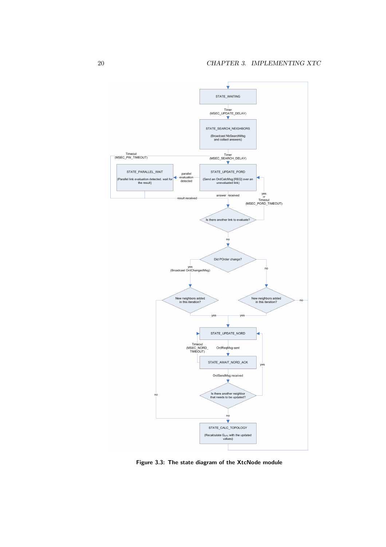

Figure 3.3: The state diagram of the XtcNode module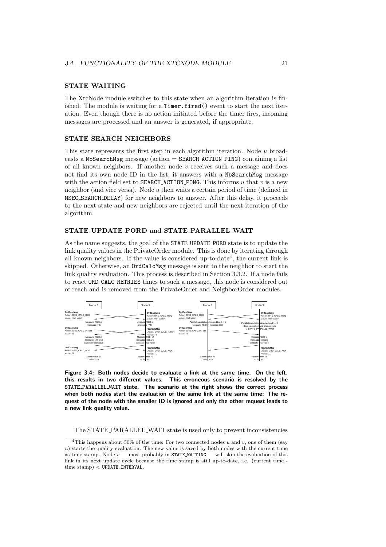#### STATE WAITING

The XtcNode module switches to this state when an algorithm iteration is finished. The module is waiting for a Timer.fired() event to start the next iteration. Even though there is no action initiated before the timer fires, incoming messages are processed and an answer is generated, if appropriate.

#### STATE SEARCH NEIGHBORS

This state represents the first step in each algorithm iteration. Node u broadcasts a NbSearchMsg message (action = SEARCH ACTION PING) containing a list of all known neighbors. If another node  $v$  receives such a message and does not find its own node ID in the list, it answers with a NbSearchMsg message with the action field set to **SEARCH\_ACTION\_PONG**. This informs u that v is a new neighbor (and vice versa). Node  $u$  then waits a certain period of time (defined in MSEC SEARCH DELAY) for new neighbors to answer. After this delay, it proceeds to the next state and new neighbors are rejected until the next iteration of the algorithm.

#### STATE UPDATE PORD and STATE PARALLEL WAIT

As the name suggests, the goal of the STATE UPDATE PORD state is to update the link quality values in the PrivateOrder module. This is done by iterating through all known neighbors. If the value is considered up-to-date<sup>4</sup>, the current link is skipped. Otherwise, an OrdCalcMsg message is sent to the neighbor to start the link quality evaluation. This process is described in Section 3.3.2. If a node fails to react ORD CALC RETRIES times to such a message, this node is considered out of reach and is removed from the PrivateOrder and NeighborOrder modules.



Figure 3.4: Both nodes decide to evaluate a link at the same time. On the left, this results in two different values. This erroneous scenario is resolved by the STATE PARALLEL WAIT state. The scenario at the right shows the correct process when both nodes start the evaluation of the same link at the same time: The request of the node with the smaller ID is ignored and only the other request leads to a new link quality value.

The STATE PARALLEL WAIT state is used only to prevent inconsistencies

<sup>&</sup>lt;sup>4</sup>This happens about 50% of the time: For two connected nodes  $u$  and  $v$ , one of them (say u) starts the quality evaluation. The new value is saved by both nodes with the current time as time stamp. Node  $v$  — most probably in **STATE\_WAITING** — will skip the evaluation of this link in its next update cycle because the time stamp is still up-to-date, i.e. (current time time stamp) < UPDATE INTERVAL.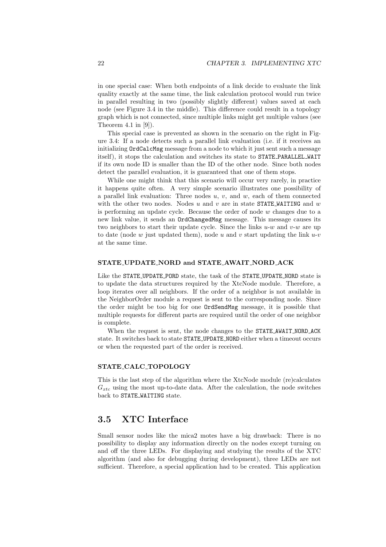in one special case: When both endpoints of a link decide to evaluate the link quality exactly at the same time, the link calculation protocol would run twice in parallel resulting in two (possibly slightly different) values saved at each node (see Figure 3.4 in the middle). This difference could result in a topology graph which is not connected, since multiple links might get multiple values (see Theorem 4.1 in  $[9]$ ).

This special case is prevented as shown in the scenario on the right in Figure 3.4: If a node detects such a parallel link evaluation (i.e. if it receives an initializing OrdCalcMsg message from a node to which it just sent such a message itself), it stops the calculation and switches its state to STATE PARALLEL WAIT if its own node ID is smaller than the ID of the other node. Since both nodes detect the parallel evaluation, it is guaranteed that one of them stops.

While one might think that this scenario will occur very rarely, in practice it happens quite often. A very simple scenario illustrates one possibility of a parallel link evaluation: Three nodes  $u, v$ , and  $w$ , each of them connected with the other two nodes. Nodes u and v are in state STATE\_WAITING and  $w$ is performing an update cycle. Because the order of node  $w$  changes due to a new link value, it sends an OrdChangedMsg message. This message causes its two neighbors to start their update cycle. Since the links  $u-w$  and  $v-w$  are up to date (node  $w$  just updated them), node  $u$  and  $v$  start updating the link  $u$ - $v$ at the same time.

#### STATE UPDATE NORD and STATE AWAIT NORD ACK

Like the STATE UPDATE PORD state, the task of the STATE UPDATE NORD state is to update the data structures required by the XtcNode module. Therefore, a loop iterates over all neighbors. If the order of a neighbor is not available in the NeighborOrder module a request is sent to the corresponding node. Since the order might be too big for one OrdSendMsg message, it is possible that multiple requests for different parts are required until the order of one neighbor is complete.

When the request is sent, the node changes to the **STATE\_AWAIT\_NORD\_ACK** state. It switches back to state STATE UPDATE NORD either when a timeout occurs or when the requested part of the order is received.

#### STATE CALC TOPOLOGY

This is the last step of the algorithm where the XtcNode module (re)calculates  $G_{\text{xtc}}$  using the most up-to-date data. After the calculation, the node switches back to STATE WAITING state.

## 3.5 XTC Interface

Small sensor nodes like the mica2 motes have a big drawback: There is no possibility to display any information directly on the nodes except turning on and off the three LEDs. For displaying and studying the results of the XTC algorithm (and also for debugging during development), three LEDs are not sufficient. Therefore, a special application had to be created. This application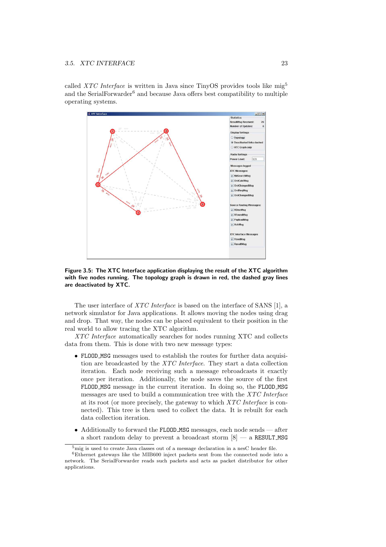called XTC Interface is written in Java since TinyOS provides tools like  $mig<sup>5</sup>$ and the SerialForwarder<sup>6</sup> and because Java offers best compatibility to multiple operating systems.



Figure 3.5: The XTC Interface application displaying the result of the XTC algorithm with five nodes running. The topology graph is drawn in red, the dashed gray lines are deactivated by XTC.

The user interface of XTC Interface is based on the interface of SANS [1], a network simulator for Java applications. It allows moving the nodes using drag and drop. That way, the nodes can be placed equivalent to their position in the real world to allow tracing the XTC algorithm.

XTC Interface automatically searches for nodes running XTC and collects data from them. This is done with two new message types:

- FLOOD MSG messages used to establish the routes for further data acquisition are broadcasted by the XTC Interface. They start a data collection iteration. Each node receiving such a message rebroadcasts it exactly once per iteration. Additionally, the node saves the source of the first FLOOD MSG message in the current iteration. In doing so, the FLOOD MSG messages are used to build a communication tree with the XTC Interface at its root (or more precisely, the gateway to which XTC Interface is connected). This tree is then used to collect the data. It is rebuilt for each data collection iteration.
- Additionally to forward the FLOOD MSG messages, each node sends after a short random delay to prevent a broadcast storm  $[8]$  — a RESULT MSG

 $5<sup>5</sup>$ mig is used to create Java classes out of a message declaration in a nesC header file.

<sup>6</sup>Ethernet gateways like the MIB600 inject packets sent from the connected node into a network. The SerialForwarder reads such packets and acts as packet distributor for other applications.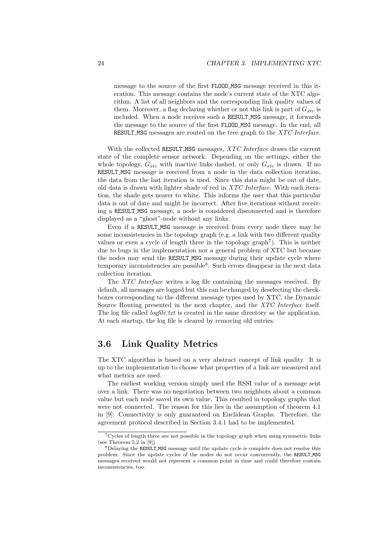message to the source of the first FLOOD MSG message received in this iteration. This message contains the node's current state of the XTC algorithm: A list of all neighbors and the corresponding link quality values of them. Moreover, a flag declaring whether or not this link is part of  $G_{xtc}$  is included. When a node receives such a RESULT MSG message, it forwards the message to the source of the first FLOOD MSG message. In the end, all RESULT\_MSG messages are routed on the tree graph to the XTC Interface.

With the collected RESULT\_MSG messages, *XTC Interface* draws the current state of the complete sensor network. Depending on the settings, either the whole topology,  $G_{xtc}$  with inactive links dashed, or only  $G_{xtc}$  is drawn. If no RESULT MSG message is received from a node in the data collection iteration, the data from the last iteration is used. Since this data might be out of date, old data is drawn with lighter shade of red in XTC Interface. With each iteration, the shade gets nearer to white. This informs the user that this particular data is out of date and might be incorrect. After five iterations without receiving a RESULT MSG message, a node is considered disconnected and is therefore displayed as a "ghost"-node without any links.

Even if a RESULT MSG message is received from every node there may be some inconsistencies in the topology graph (e.g. a link with two different quality values or even a cycle of length three in the topology graph<sup>7</sup>). This is neither due to bugs in the implementation nor a general problem of XTC but because the nodes may send the RESULT MSG message during their update cycle where temporary inconsistencies are possible<sup>8</sup> . Such errors disappear in the next data collection iteration.

The XTC Interface writes a log file containing the messages received. By default, all messages are logged but this can be changed by deselecting the checkboxes corresponding to the different message types used by XTC, the Dynamic Source Routing presented in the next chapter, and the XTC Interface itself. The log file called *logfile.txt* is created in the same directory as the application. At each startup, the log file is cleared by removing old entries.

## 3.6 Link Quality Metrics

The XTC algorithm is based on a very abstract concept of link quality. It is up to the implementation to choose what properties of a link are measured and what metrics are used.

The earliest working version simply used the RSSI value of a message sent over a link. There was no negotiation between two neighbors about a common value but each node saved its own value. This resulted in topology graphs that were not connected. The reason for this lies in the assumption of theorem 4.1 in [9]: Connectivity is only guaranteed on Euclidean Graphs. Therefore, the agreement protocol described in Section 3.4.1 had to be implemented.

<sup>7</sup>Cycles of length three are not possible in the topology graph when using symmetric links (see Theorem 5.2 in [9])

<sup>&</sup>lt;sup>8</sup>Delaying the RESULT\_MSG message until the update cycle is complete does not resolve this problem: Since the update cycles of the nodes do not occur concurrently, the RESULT MSG messages received would not represent a common point in time and could therefore contain inconsistencies, too.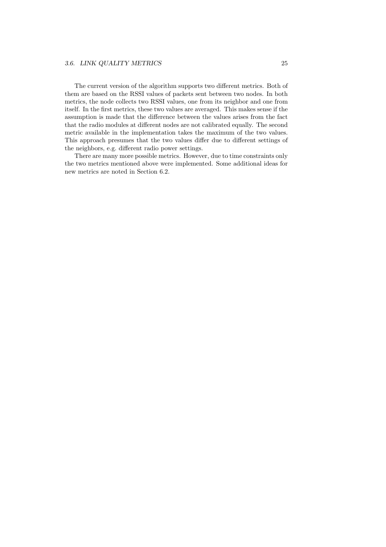The current version of the algorithm supports two different metrics. Both of them are based on the RSSI values of packets sent between two nodes. In both metrics, the node collects two RSSI values, one from its neighbor and one from itself. In the first metrics, these two values are averaged. This makes sense if the assumption is made that the difference between the values arises from the fact that the radio modules at different nodes are not calibrated equally. The second metric available in the implementation takes the maximum of the two values. This approach presumes that the two values differ due to different settings of the neighbors, e.g. different radio power settings.

There are many more possible metrics. However, due to time constraints only the two metrics mentioned above were implemented. Some additional ideas for new metrics are noted in Section 6.2.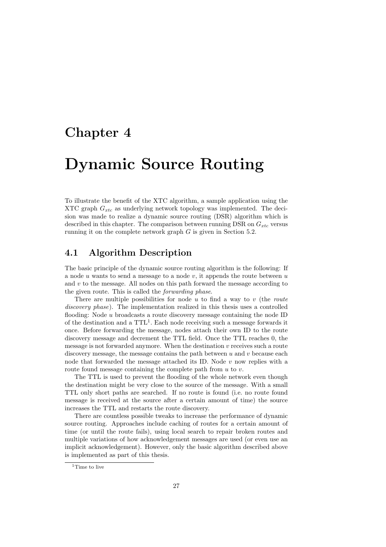## Chapter 4

# Dynamic Source Routing

To illustrate the benefit of the XTC algorithm, a sample application using the XTC graph  $G_{xtc}$  as underlying network topology was implemented. The decision was made to realize a dynamic source routing (DSR) algorithm which is described in this chapter. The comparison between running DSR on  $G_{xtc}$  versus running it on the complete network graph  $G$  is given in Section 5.2.

## 4.1 Algorithm Description

The basic principle of the dynamic source routing algorithm is the following: If a node  $u$  wants to send a message to a node  $v$ , it appends the route between  $u$ and  $v$  to the message. All nodes on this path forward the message according to the given route. This is called the forwarding phase.

There are multiple possibilities for node  $u$  to find a way to  $v$  (the route discovery phase). The implementation realized in this thesis uses a controlled flooding: Node u broadcasts a route discovery message containing the node ID of the destination and a TTL<sup>1</sup>. Each node receiving such a message forwards it once. Before forwarding the message, nodes attach their own ID to the route discovery message and decrement the TTL field. Once the TTL reaches 0, the message is not forwarded anymore. When the destination  $v$  receives such a route discovery message, the message contains the path between  $u$  and  $v$  because each node that forwarded the message attached its ID. Node  $v$  now replies with a route found message containing the complete path from  $u$  to  $v$ .

The TTL is used to prevent the flooding of the whole network even though the destination might be very close to the source of the message. With a small TTL only short paths are searched. If no route is found (i.e. no route found message is received at the source after a certain amount of time) the source increases the TTL and restarts the route discovery.

There are countless possible tweaks to increase the performance of dynamic source routing. Approaches include caching of routes for a certain amount of time (or until the route fails), using local search to repair broken routes and multiple variations of how acknowledgement messages are used (or even use an implicit acknowledgement). However, only the basic algorithm described above is implemented as part of this thesis.

<sup>&</sup>lt;sup>1</sup>Time to live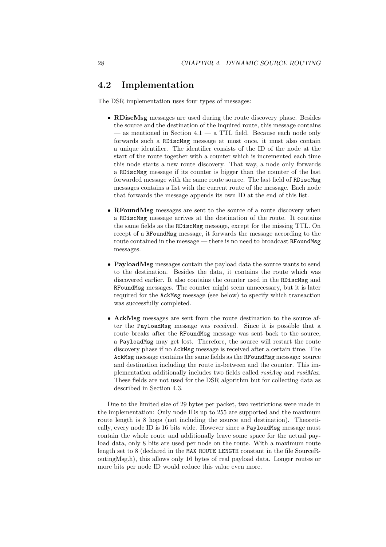## 4.2 Implementation

The DSR implementation uses four types of messages:

- RDiscMsg messages are used during the route discovery phase. Besides the source and the destination of the inquired route, this message contains — as mentioned in Section 4.1 — a TTL field. Because each node only forwards such a RDiscMsg message at most once, it must also contain a unique identifier. The identifier consists of the ID of the node at the start of the route together with a counter which is incremented each time this node starts a new route discovery. That way, a node only forwards a RDiscMsg message if its counter is bigger than the counter of the last forwarded message with the same route source. The last field of RDiscMsg messages contains a list with the current route of the message. Each node that forwards the message appends its own ID at the end of this list.
- RFoundMsg messages are sent to the source of a route discovery when a RDiscMsg message arrives at the destination of the route. It contains the same fields as the RDiscMsg message, except for the missing TTL. On recept of a RFoundMsg message, it forwards the message according to the route contained in the message — there is no need to broadcast RFoundMsg messages.
- PayloadMsg messages contain the payload data the source wants to send to the destination. Besides the data, it contains the route which was discovered earlier. It also contains the counter used in the RDiscMsg and RFoundMsg messages. The counter might seem unnecessary, but it is later required for the AckMsg message (see below) to specify which transaction was successfully completed.
- AckMsg messages are sent from the route destination to the source after the PayloadMsg message was received. Since it is possible that a route breaks after the RFoundMsg message was sent back to the source, a PayloadMsg may get lost. Therefore, the source will restart the route discovery phase if no AckMsg message is received after a certain time. The AckMsg message contains the same fields as the RFoundMsg message: source and destination including the route in-between and the counter. This implementation additionally includes two fields called  $rssiAvg$  and  $rssiMax$ . These fields are not used for the DSR algorithm but for collecting data as described in Section 4.3.

Due to the limited size of 29 bytes per packet, two restrictions were made in the implementation: Only node IDs up to 255 are supported and the maximum route length is 8 hops (not including the source and destination). Theoretically, every node ID is 16 bits wide. However since a PayloadMsg message must contain the whole route and additionally leave some space for the actual payload data, only 8 bits are used per node on the route. With a maximum route length set to 8 (declared in the MAX ROUTE LENGTH constant in the file SourceRoutingMsg.h), this allows only 16 bytes of real payload data. Longer routes or more bits per node ID would reduce this value even more.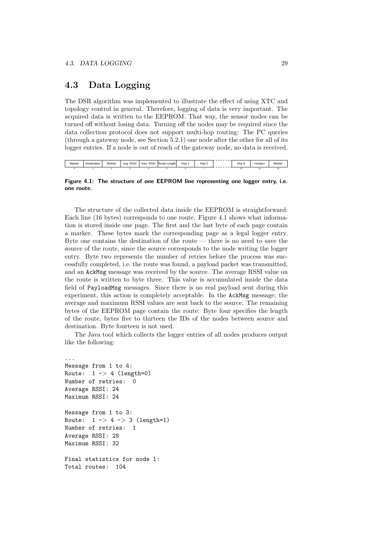## 4.3 Data Logging

The DSR algorithm was implemented to illustrate the effect of using XTC and topology control in general. Therefore, logging of data is very important. The acquired data is written to the EEPROM. That way, the sensor nodes can be turned off without losing data. Turning off the nodes may be required since the data collection protocol does not support multi-hop routing: The PC queries (through a gateway node, see Section 5.2.1) one node after the other for all of its logger entries. If a node is out of reach of the gateway node, no data is received.

| Marker | stination | Retries | <b>RSSI</b><br>avg | <b>RSSI</b><br>max. | Route<br>Lenath | Hop | Hop | . | Hop 8 | cemntv | Marke <sub>r</sub> |
|--------|-----------|---------|--------------------|---------------------|-----------------|-----|-----|---|-------|--------|--------------------|
|        |           |         |                    |                     |                 |     |     |   |       |        |                    |

#### Figure 4.1: The structure of one EEPROM line representing one logger entry, i.e. one route.

The structure of the collected data inside the EEPROM is straightforward: Each line (16 bytes) corresponds to one route. Figure 4.1 shows what information is stored inside one page. The first and the last byte of each page contain a marker. These bytes mark the corresponding page as a legal logger entry. Byte one contains the destination of the route — there is no need to save the source of the route, since the source corresponds to the node writing the logger entry. Byte two represents the number of retries before the process was successfully completed, i.e. the route was found, a payload packet was transmitted, and an AckMsg message was received by the source. The average RSSI value on the route is written to byte three. This value is accumulated inside the data field of PayloadMsg messages. Since there is no real payload sent during this experiment, this action is completely acceptable. In the AckMsg message, the average and maximum RSSI values are sent back to the source. The remaining bytes of the EEPROM page contain the route: Byte four specifies the length of the route, bytes five to thirteen the IDs of the nodes between source and destination. Byte fourteen is not used.

The Java tool which collects the logger entries of all nodes produces output like the following:

```
...
Message from 1 to 4:
Route: 1 - > 4 (length=0)
Number of retries: 0
Average RSSI: 24
Maximum RSSI: 24
Message from 1 to 3:
Route: 1 \rightarrow 4 \rightarrow 3 (length=1)
Number of retries: 1
Average RSSI: 28
Maximum RSSI: 32
Final statistics for node 1:
Total routes: 104
```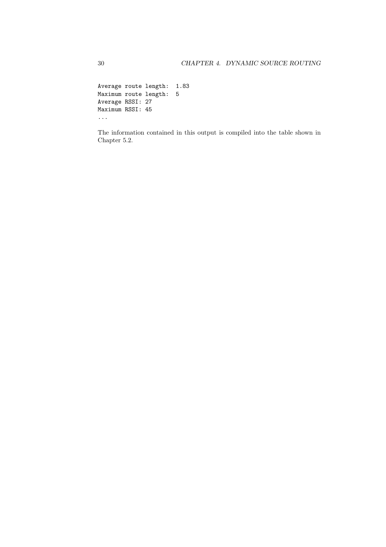Average route length: 1.83 Maximum route length: 5 Average RSSI: 27 Maximum RSSI: 45 ...

The information contained in this output is compiled into the table shown in Chapter 5.2.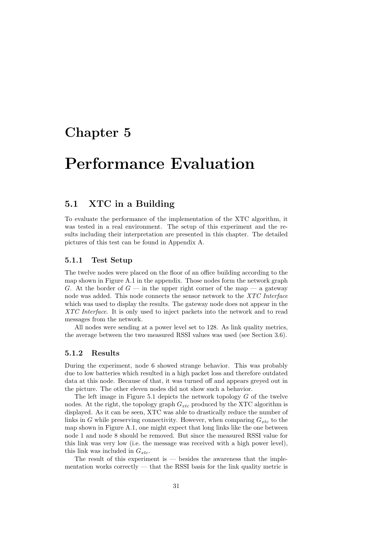## Chapter 5

# Performance Evaluation

## 5.1 XTC in a Building

To evaluate the performance of the implementation of the XTC algorithm, it was tested in a real environment. The setup of this experiment and the results including their interpretation are presented in this chapter. The detailed pictures of this test can be found in Appendix A.

#### 5.1.1 Test Setup

The twelve nodes were placed on the floor of an office building according to the map shown in Figure A.1 in the appendix. Those nodes form the network graph G. At the border of  $G$  — in the upper right corner of the map — a gateway node was added. This node connects the sensor network to the XTC Interface which was used to display the results. The gateway node does not appear in the XTC Interface. It is only used to inject packets into the network and to read messages from the network.

All nodes were sending at a power level set to 128. As link quality metrics, the average between the two measured RSSI values was used (see Section 3.6).

#### 5.1.2 Results

During the experiment, node 6 showed strange behavior. This was probably due to low batteries which resulted in a high packet loss and therefore outdated data at this node. Because of that, it was turned off and appears greyed out in the picture. The other eleven nodes did not show such a behavior.

The left image in Figure 5.1 depicts the network topology  $G$  of the twelve nodes. At the right, the topology graph  $G_{xtc}$  produced by the XTC algorithm is displayed. As it can be seen, XTC was able to drastically reduce the number of links in G while preserving connectivity. However, when comparing  $G_{xtc}$  to the map shown in Figure A.1, one might expect that long links like the one between node 1 and node 8 should be removed. But since the measured RSSI value for this link was very low (i.e. the message was received with a high power level), this link was included in  $G_{xtc}$ .

The result of this experiment is — besides the awareness that the implementation works correctly — that the RSSI basis for the link quality metric is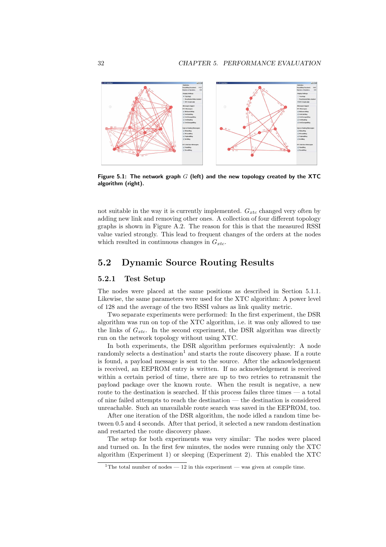

Figure 5.1: The network graph  $G$  (left) and the new topology created by the XTC algorithm (right).

not suitable in the way it is currently implemented.  $G_{\text{r}tc}$  changed very often by adding new link and removing other ones. A collection of four different topology graphs is shown in Figure A.2. The reason for this is that the measured RSSI value varied strongly. This lead to frequent changes of the orders at the nodes which resulted in continuous changes in  $G_{xtc}$ .

### 5.2 Dynamic Source Routing Results

#### 5.2.1 Test Setup

The nodes were placed at the same positions as described in Section 5.1.1. Likewise, the same parameters were used for the XTC algorithm: A power level of 128 and the average of the two RSSI values as link quality metric.

Two separate experiments were performed: In the first experiment, the DSR algorithm was run on top of the XTC algorithm, i.e. it was only allowed to use the links of  $G_{xtc}$ . In the second experiment, the DSR algorithm was directly run on the network topology without using XTC.

In both experiments, the DSR algorithm performes equivalently: A node randomly selects a destination<sup>1</sup> and starts the route discovery phase. If a route is found, a payload message is sent to the source. After the acknowledgement is received, an EEPROM entry is written. If no acknowledgement is received within a certain period of time, there are up to two retries to retransmit the payload package over the known route. When the result is negative, a new route to the destination is searched. If this process failes three times — a total of nine failed attempts to reach the destination — the destination is considered unreachable. Such an unavailable route search was saved in the EEPROM, too.

After one iteration of the DSR algorithm, the node idled a random time between 0.5 and 4 seconds. After that period, it selected a new random destination and restarted the route discovery phase.

The setup for both experiments was very similar: The nodes were placed and turned on. In the first few minutes, the nodes were running only the XTC algorithm (Experiment 1) or sleeping (Experiment 2). This enabled the XTC

<sup>&</sup>lt;sup>1</sup>The total number of nodes  $-12$  in this experiment — was given at compile time.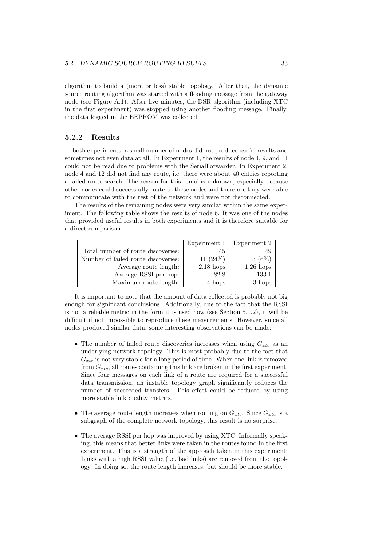algorithm to build a (more or less) stable topology. After that, the dynamic source routing algorithm was started with a flooding message from the gateway node (see Figure A.1). After five minutes, the DSR algorithm (including XTC in the first experiment) was stopped using another flooding message. Finally, the data logged in the EEPROM was collected.

#### 5.2.2 Results

In both experiments, a small number of nodes did not produce useful results and sometimes not even data at all. In Experiment 1, the results of node 4, 9, and 11 could not be read due to problems with the SerialForwarder. In Experiment 2, node 4 and 12 did not find any route, i.e. there were about 40 entries reporting a failed route search. The reason for this remains unknown, especially because other nodes could successfully route to these nodes and therefore they were able to communicate with the rest of the network and were not disconnected.

The results of the remaining nodes were very similar within the same experiment. The following table shows the results of node 6. It was one of the nodes that provided useful results in both experiments and it is therefore suitable for a direct comparison.

|                                     | Experiment 1 | Experiment 2 |
|-------------------------------------|--------------|--------------|
| Total number of route discoveries:  | 45           | 49           |
| Number of failed route discoveries: | 11 $(24%)$   | $3(6\%)$     |
| Average route length:               | $2.18$ hops  | $1.26$ hops  |
| Average RSSI per hop:               | 82.8         | 133.1        |
| Maximum route length:               | 4 hops       | 3 hops       |

It is important to note that the amount of data collected is probably not big enough for significant conclusions. Additionally, due to the fact that the RSSI is not a reliable metric in the form it is used now (see Section 5.1.2), it will be difficult if not impossible to reproduce these measurements. However, since all nodes produced similar data, some interesting observations can be made:

- The number of failed route discoveries increases when using  $G_{xtc}$  as an underlying network topology. This is most probably due to the fact that  $G_{xtc}$  is not very stable for a long period of time. When one link is removed from  $G_{xtc}$ , all routes containing this link are broken in the first experiment. Since four messages on each link of a route are required for a successful data transmission, an instable topology graph significantly reduces the number of succeeded transfers. This effect could be reduced by using more stable link quality metrics.
- The average route length increases when routing on  $G_{xtc}$ . Since  $G_{xtc}$  is a subgraph of the complete network topology, this result is no surprise.
- The average RSSI per hop was improved by using XTC. Informally speaking, this means that better links were taken in the routes found in the first experiment. This is a strength of the approach taken in this experiment: Links with a high RSSI value (i.e. bad links) are removed from the topology. In doing so, the route length increases, but should be more stable.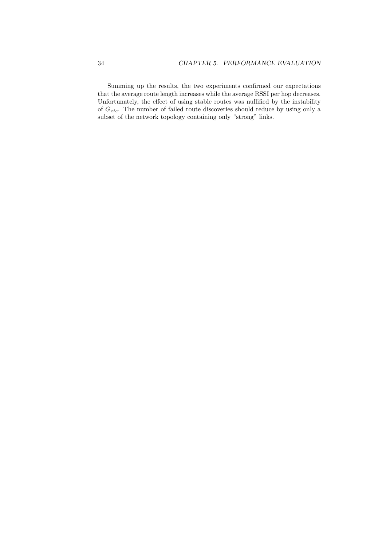Summing up the results, the two experiments confirmed our expectations that the average route length increases while the average RSSI per hop decreases. Unfortunately, the effect of using stable routes was nullified by the instability of  $G_{xtc}$ . The number of failed route discoveries should reduce by using only a subset of the network topology containing only "strong" links.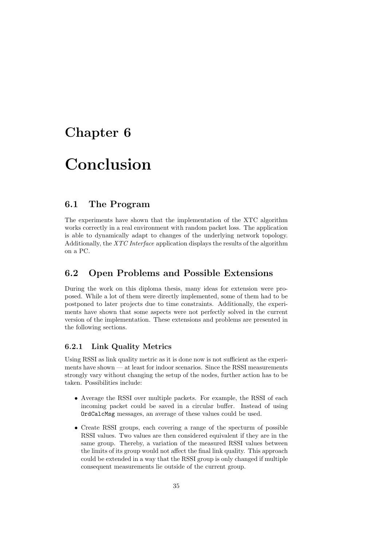## Chapter 6

# Conclusion

## 6.1 The Program

The experiments have shown that the implementation of the XTC algorithm works correctly in a real environment with random packet loss. The application is able to dynamically adapt to changes of the underlying network topology. Additionally, the XTC Interface application displays the results of the algorithm on a PC.

## 6.2 Open Problems and Possible Extensions

During the work on this diploma thesis, many ideas for extension were proposed. While a lot of them were directly implemented, some of them had to be postponed to later projects due to time constraints. Additionally, the experiments have shown that some aspects were not perfectly solved in the current version of the implementation. These extensions and problems are presented in the following sections.

#### 6.2.1 Link Quality Metrics

Using RSSI as link quality metric as it is done now is not sufficient as the experiments have shown — at least for indoor scenarios. Since the RSSI measurements strongly vary without changing the setup of the nodes, further action has to be taken. Possibilities include:

- Average the RSSI over multiple packets. For example, the RSSI of each incoming packet could be saved in a circular buffer. Instead of using OrdCalcMsg messages, an average of these values could be used.
- Create RSSI groups, each covering a range of the specturm of possible RSSI values. Two values are then considered equivalent if they are in the same group. Thereby, a variation of the measured RSSI values between the limits of its group would not affect the final link quality. This approach could be extended in a way that the RSSI group is only changed if multiple consequent measurements lie outside of the current group.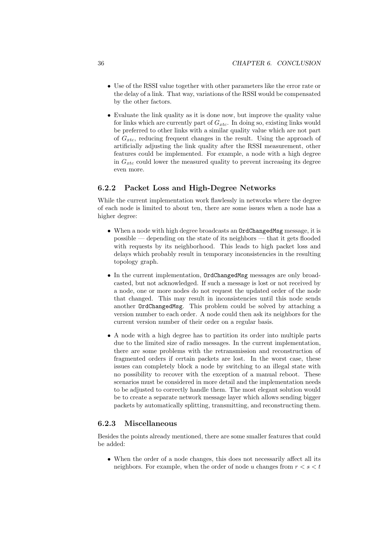- Use of the RSSI value together with other parameters like the error rate or the delay of a link. That way, variations of the RSSI would be compensated by the other factors.
- Evaluate the link quality as it is done now, but improve the quality value for links which are currently part of  $G_{xtc}$ . In doing so, existing links would be preferred to other links with a similar quality value which are not part of  $G_{xtc}$ , reducing frequent changes in the result. Using the approach of artificially adjusting the link quality after the RSSI measurement, other features could be implemented. For example, a node with a high degree in  $G_{\text{xtc}}$  could lower the measured quality to prevent increasing its degree even more.

#### 6.2.2 Packet Loss and High-Degree Networks

While the current implementation work flawlessly in networks where the degree of each node is limited to about ten, there are some issues when a node has a higher degree:

- When a node with high degree broadcasts an OrdChangedMsg message, it is  $_{\rm possible}-$  depending on the state of its neighbors  $-$  that it gets flooded with requests by its neighborhood. This leads to high packet loss and delays which probably result in temporary inconsistencies in the resulting topology graph.
- In the current implementation, OrdChangedMsg messages are only broadcasted, but not acknowledged. If such a message is lost or not received by a node, one or more nodes do not request the updated order of the node that changed. This may result in inconsistencies until this node sends another OrdChangedMsg. This problem could be solved by attaching a version number to each order. A node could then ask its neighbors for the current version number of their order on a regular basis.
- A node with a high degree has to partition its order into multiple parts due to the limited size of radio messages. In the current implementation, there are some problems with the retransmission and reconstruction of fragmented orders if certain packets are lost. In the worst case, these issues can completely block a node by switching to an illegal state with no possibility to recover with the exception of a manual reboot. These scenarios must be considered in more detail and the implementation needs to be adjusted to correctly handle them. The most elegant solution would be to create a separate network message layer which allows sending bigger packets by automatically splitting, transmitting, and reconstructing them.

### 6.2.3 Miscellaneous

Besides the points already mentioned, there are some smaller features that could be added:

• When the order of a node changes, this does not necessarily affect all its neighbors. For example, when the order of node u changes from  $r < s < t$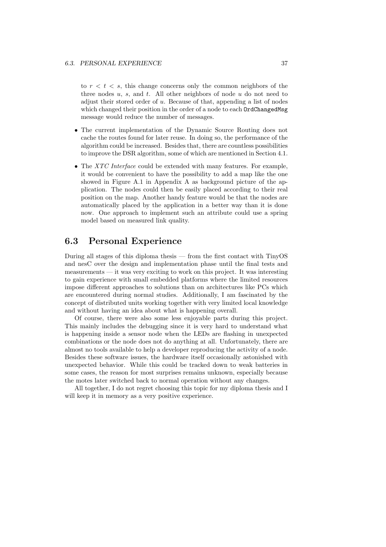to  $r < t < s$ , this change concerns only the common neighbors of the three nodes  $u$ ,  $s$ , and  $t$ . All other neighbors of node  $u$  do not need to adjust their stored order of u. Because of that, appending a list of nodes which changed their position in the order of a node to each **OrdChangedMsg** message would reduce the number of messages.

- The current implementation of the Dynamic Source Routing does not cache the routes found for later reuse. In doing so, the performance of the algorithm could be increased. Besides that, there are countless possibilities to improve the DSR algorithm, some of which are mentioned in Section 4.1.
- The *XTC Interface* could be extended with many features. For example, it would be convenient to have the possibility to add a map like the one showed in Figure A.1 in Appendix A as background picture of the application. The nodes could then be easily placed according to their real position on the map. Another handy feature would be that the nodes are automatically placed by the application in a better way than it is done now. One approach to implement such an attribute could use a spring model based on measured link quality.

## 6.3 Personal Experience

During all stages of this diploma thesis — from the first contact with TinyOS and nesC over the design and implementation phase until the final tests and measurements — it was very exciting to work on this project. It was interesting to gain experience with small embedded platforms where the limited resources impose different approaches to solutions than on architectures like PCs which are encountered during normal studies. Additionally, I am fascinated by the concept of distributed units working together with very limited local knowledge and without having an idea about what is happening overall.

Of course, there were also some less enjoyable parts during this project. This mainly includes the debugging since it is very hard to understand what is happening inside a sensor node when the LEDs are flashing in unexpected combinations or the node does not do anything at all. Unfortunately, there are almost no tools available to help a developer reproducing the activity of a node. Besides these software issues, the hardware itself occasionally astonished with unexpected behavior. While this could be tracked down to weak batteries in some cases, the reason for most surprises remains unknown, especially because the motes later switched back to normal operation without any changes.

All together, I do not regret choosing this topic for my diploma thesis and I will keep it in memory as a very positive experience.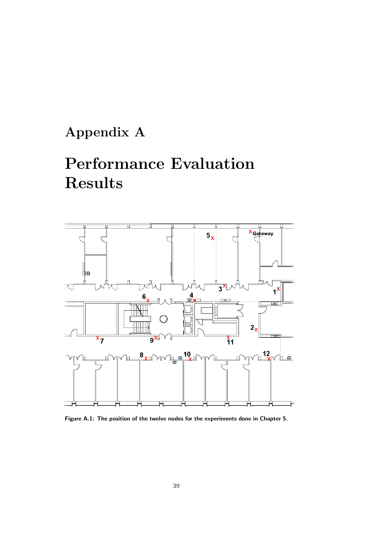# Appendix A

# Performance Evaluation Results



Figure A.1: The position of the twelve nodes for the experiments done in Chapter 5.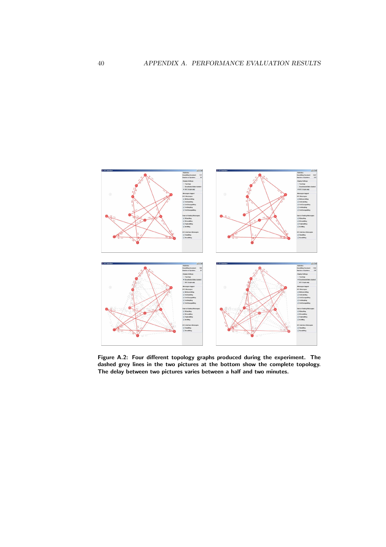

Figure A.2: Four different topology graphs produced during the experiment. The dashed grey lines in the two pictures at the bottom show the complete topology. The delay between two pictures varies between a half and two minutes.